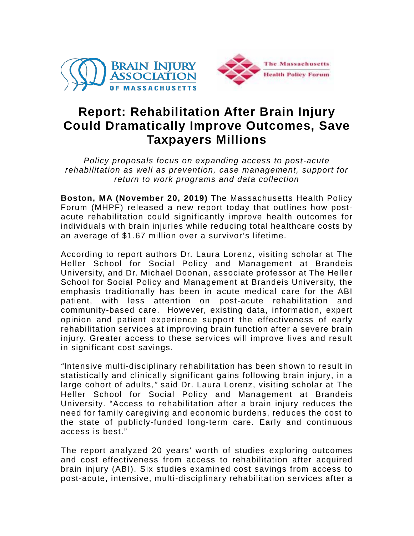



## **Report: Rehabilitation After Brain Injury Could Dramatically Improve Outcomes, Save Taxpayers Millions**

*Policy proposals focus on expanding access to post-acute rehabilitation as well as prevention, case management, support for return to work programs and data collection*

**Boston, MA (November 20, 2019)** The Massachusetts Health Policy Forum (MHPF) released a new report today that outlines how postacute rehabilitation could significantly improve health outcomes for individuals with brain injuries while reducing total healthcare costs by an average of \$1.67 million over a survivor's lifetime.

According to report authors Dr. Laura Lorenz, visiting scholar at The Heller School for Social Policy and Management at Brandeis University, and Dr. Michael Doonan, associate professor at The Heller School for Social Policy and Management at Brandeis University, the emphasis traditionally has been in acute medical care for the ABI patient, with less attention on post-acute rehabilitation and community-based care. However, existing data, information, expert opinion and patient experience support the effectiveness of early rehabilitation services at improving brain function after a severe brain injury. Greater access to these services will improve lives and result in significant cost savings.

*"*Intensive multi-disciplinary rehabilitation has been shown to result in statistically and clinically significant gains following brain injury, in a large cohort of adults*,"* said Dr. Laura Lorenz, visiting scholar at The Heller School for Social Policy and Management at Brandeis University. "Access to rehabilitation after a brain injury reduces the need for family caregiving and economic burdens, reduces the cost to the state of publicly-funded long-term care. Early and continuous access is best."

The report analyzed 20 years' worth of studies exploring outcomes and cost effectiveness from access to rehabilitation after acquired brain injury (ABI). Six studies examined cost savings from access to post-acute, intensive, multi-disciplinary rehabilitation services after a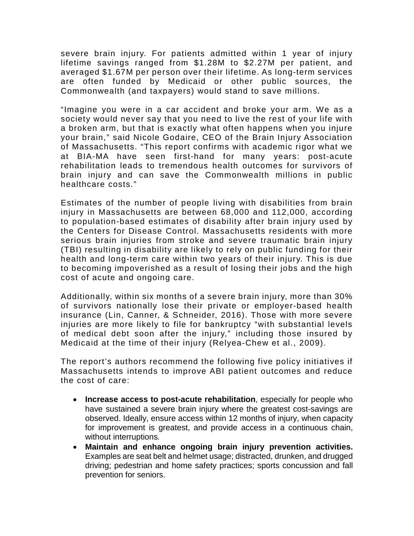severe brain injury. For patients admitted within 1 year of injury lifetime savings ranged from \$1.28M to \$2.27M per patient, and averaged \$1.67M per person over their lifetime. As long-term services are often funded by Medicaid or other public sources, the Commonwealth (and taxpayers) would stand to save millions.

"Imagine you were in a car accident and broke your arm. We as a society would never say that you need to live the rest of your life with a broken arm, but that is exactly what often happens when you injure your brain," said Nicole Godaire, CEO of the Brain Injury Association of Massachusetts. "This report confirms with academic rigor what we at BIA-MA have seen first-hand for many years: post-acute rehabilitation leads to tremendous health outcomes for survivors of brain injury and can save the Commonwealth millions in public healthcare costs."

Estimates of the number of people living with disabilities from brain injury in Massachusetts are between 68,000 and 112,000, according to population-based estimates of disability after brain injury used by the Centers for Disease Control. Massachusetts residents with more serious brain injuries from stroke and severe traumatic brain injury (TBI) resulting in disability are likely to rely on public funding for their health and long-term care within two years of their injury. This is due to becoming impoverished as a result of losing their jobs and the high cost of acute and ongoing care.

Additionally, within six months of a severe brain injury, more than 30% of survivors nationally lose their private or employer-based health insurance (Lin, Canner, & Schneider, 2016). Those with more severe injuries are more likely to file for bankruptcy "with substantial levels of medical debt soon after the injury," including those insured by Medicaid at the time of their injury (Relyea-Chew et al., 2009).

The report's authors recommend the following five policy initiatives if Massachusetts intends to improve ABI patient outcomes and reduce the cost of care:

- **Increase access to post-acute rehabilitation**, especially for people who have sustained a severe brain injury where the greatest cost-savings are observed. Ideally, ensure access within 12 months of injury, when capacity for improvement is greatest, and provide access in a continuous chain, without interruptions.
- **Maintain and enhance ongoing brain injury prevention activities.** Examples are seat belt and helmet usage; distracted, drunken, and drugged driving; pedestrian and home safety practices; sports concussion and fall prevention for seniors.